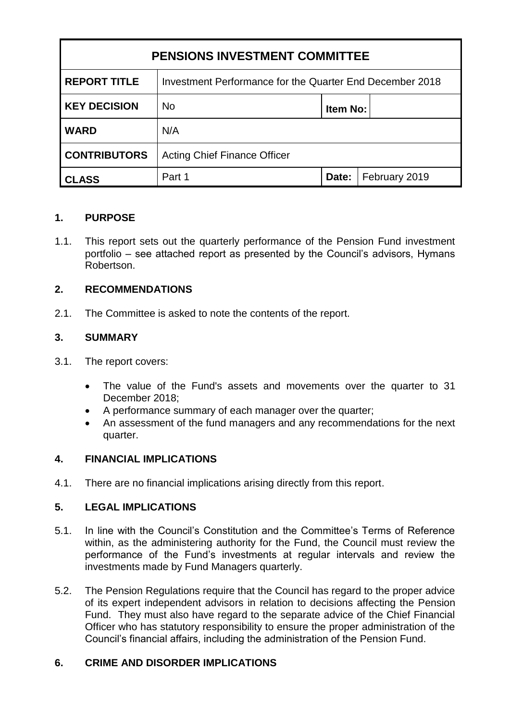| <b>PENSIONS INVESTMENT COMMITTEE</b> |                                                          |                 |               |
|--------------------------------------|----------------------------------------------------------|-----------------|---------------|
| <b>REPORT TITLE</b>                  | Investment Performance for the Quarter End December 2018 |                 |               |
| <b>KEY DECISION</b>                  | <b>No</b>                                                | <b>Item No:</b> |               |
| <b>WARD</b>                          | N/A                                                      |                 |               |
| <b>CONTRIBUTORS</b>                  | <b>Acting Chief Finance Officer</b>                      |                 |               |
| CLASS                                | Part 1                                                   | Date:           | February 2019 |

#### **1. PURPOSE**

1.1. This report sets out the quarterly performance of the Pension Fund investment portfolio – see attached report as presented by the Council's advisors, Hymans Robertson.

### **2. RECOMMENDATIONS**

2.1. The Committee is asked to note the contents of the report.

#### **3. SUMMARY**

- 3.1. The report covers:
	- The value of the Fund's assets and movements over the quarter to 31 December 2018;
	- A performance summary of each manager over the quarter;
	- An assessment of the fund managers and any recommendations for the next quarter.

#### **4. FINANCIAL IMPLICATIONS**

4.1. There are no financial implications arising directly from this report.

#### **5. LEGAL IMPLICATIONS**

- 5.1. In line with the Council's Constitution and the Committee's Terms of Reference within, as the administering authority for the Fund, the Council must review the performance of the Fund's investments at regular intervals and review the investments made by Fund Managers quarterly.
- 5.2. The Pension Regulations require that the Council has regard to the proper advice of its expert independent advisors in relation to decisions affecting the Pension Fund. They must also have regard to the separate advice of the Chief Financial Officer who has statutory responsibility to ensure the proper administration of the Council's financial affairs, including the administration of the Pension Fund.

#### **6. CRIME AND DISORDER IMPLICATIONS**